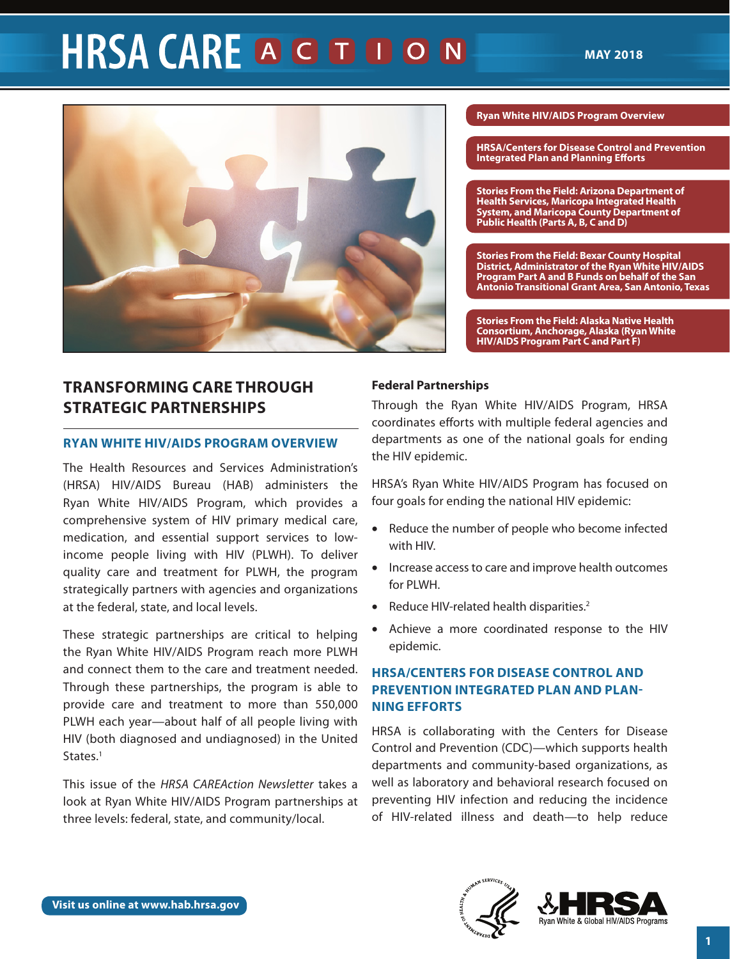# **HRSA CARE A G D D O N**



# **TRANSFORMING CARE THROUGH STRATEGIC PARTNERSHIPS**

# **RYAN WHITE HIV/AIDS PROGRAM OVERVIEW**

The Health Resources and Services Administration's (HRSA) HIV/AIDS Bureau (HAB) administers the Ryan White HIV/AIDS Program, which provides a comprehensive system of HIV primary medical care, medication, and essential support services to lowincome people living with HIV (PLWH). To deliver quality care and treatment for PLWH, the program strategically partners with agencies and organizations at the federal, state, and local levels.

These strategic partnerships are critical to helping the Ryan White HIV/AIDS Program reach more PLWH and connect them to the care and treatment needed. Through these partnerships, the program is able to provide care and treatment to more than 550,000 PLWH each year—about half of all people living with HIV (both diagnosed and undiagnosed) in the United States.<sup>1</sup>

This issue of the *HRSA CAREAction Newsletter* takes a look at Ryan White HIV/AIDS Program partnerships at three levels: federal, state, and community/local.

### **[Ryan White HIV/AIDS Program Overview](#page-0-0)**

**[HRSA/Centers for Disease Control and Prevention](#page-0-0)  [Integrated Plan and Planning Eforts](#page-0-0)** 

**[Stories From the Field: Arizona Department of](#page-4-0)  [Health Services, Maricopa Integrated Health](#page-4-0)  [System, and Maricopa County Department of](#page-4-0)  [Public Health \(Parts A, B, C and D\)](#page-4-0)** 

**[Stories From the Field: Bexar County Hospital](#page-5-0)  [District, Administrator of the Ryan White HIV/AIDS](#page-5-0)  [Program Part A and B Funds on behalf of the San](#page-5-0)  [Antonio Transitional Grant Area, San Antonio, Texas](#page-5-0)** 

**[Stories From the Field: Alaska Native Health](#page-6-0)  [Consortium, Anchorage, Alaska \(Ryan White](#page-6-0)  [HIV/AIDS Program Part C and Part F\)](#page-6-0)** 

# **Federal Partnerships**

Through the Ryan White HIV/AIDS Program, HRSA coordinates eforts with multiple federal agencies and departments as one of the national goals for ending the HIV epidemic.

HRSA's Ryan White HIV/AIDS Program has focused on four goals for ending the national HIV epidemic:

- Reduce the number of people who become infected with HIV.
- Increase access to care and improve health outcomes for PLWH.
- Reduce HIV-related health disparities.<sup>2</sup>
- Achieve a more coordinated response to the HIV epidemic.

# **HRSA/CENTERS FOR DISEASE CONTROL AND PREVENTION INTEGRATED PLAN AND PLAN-NING EFFORTS**

HRSA is collaborating with the Centers for Disease Control and Prevention (CDC)—which supports health departments and community-based organizations, as well as laboratory and behavioral research focused on preventing HIV infection and reducing the incidence of HIV-related illness and death—to help reduce

<span id="page-0-0"></span>

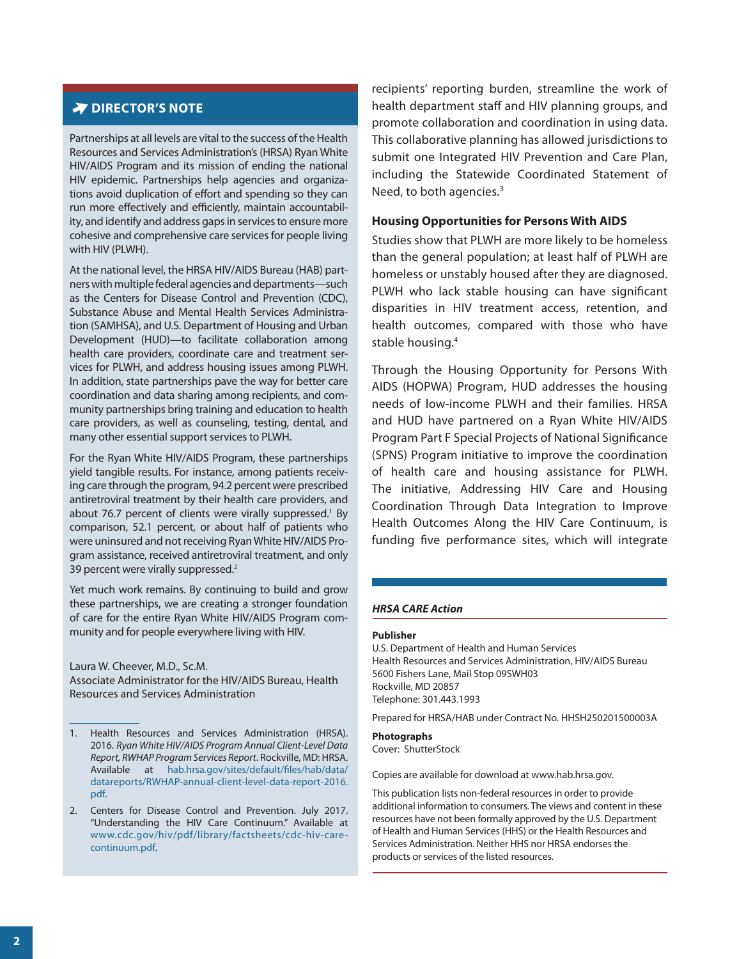# **DIRECTOR'S NOTE**

Partnerships at all levels are vital to the success of the Health Resources and Services Administration's (HRSA) Ryan White HIV/AIDS Program and its mission of ending the national HIV epidemic. Partnerships help agencies and organizations avoid duplication of effort and spending so they can run more effectively and efficiently, maintain accountability, and identify and address gaps in services to ensure more cohesive and comprehensive care services for people living with HIV (PLWH).

At the national level, the HRSA HIV/AIDS Bureau (HAB) partners with multiple federal agencies and departments—such as the Centers for Disease Control and Prevention (CDC), Substance Abuse and Mental Health Services Administration (SAMHSA), and U.S. Department of Housing and Urban Development (HUD)—to facilitate collaboration among health care providers, coordinate care and treatment services for PLWH, and address housing issues among PLWH. In addition, state partnerships pave the way for better care coordination and data sharing among recipients, and community partnerships bring training and education to health care providers, as well as counseling, testing, dental, and many other essential support services to PLWH.

For the Ryan White HIV/AIDS Program, these partnerships yield tangible results. For instance, among patients receiving care through the program, 94.2 percent were prescribed antiretroviral treatment by their health care providers, and about 76.7 percent of clients were virally suppressed.<sup>1</sup> By comparison, 52.1 percent, or about half of patients who were uninsured and not receiving Ryan White HIV/AIDS Program assistance, received antiretroviral treatment, and only 39 percent were virally suppressed.<sup>2</sup>

Yet much work remains. By continuing to build and grow these partnerships, we are creating a stronger foundation of care for the entire Ryan White HIV/AIDS Program community and for people everywhere living with HIV.

Laura W. Cheever, M.D., Sc.M. Associate Administrator for the HIV/AIDS Bureau, Health Resources and Services Administration

recipients' reporting burden, streamline the work of health department staff and HIV planning groups, and promote collaboration and coordination in using data. This collaborative planning has allowed jurisdictions to submit one Integrated HIV Prevention and Care Plan, including the Statewide Coordinated Statement of Need, to both agencies. $3$ 

#### **Housing Opportunities for Persons With AIDS**

Studies show that PLWH are more likely to be homeless than the general population; at least half of PLWH are homeless or unstably housed after they are diagnosed. PLWH who lack stable housing can have signifcant disparities in HIV treatment access, retention, and health outcomes, compared with those who have stable housing.<sup>4</sup>

Through the Housing Opportunity for Persons With AIDS (HOPWA) Program, HUD addresses the housing needs of low-income PLWH and their families. HRSA and HUD have partnered on a Ryan White HIV/AIDS Program Part F Special Projects of National Signifcance (SPNS) Program initiative to improve the coordination of health care and housing assistance for PLWH. The initiative, Addressing HIV Care and Housing Coordination Through Data Integration to Improve Health Outcomes Along the HIV Care Continuum, is funding fve performance sites, which will integrate

#### *HRSA CARE Action*

#### **Publisher**

U.S. Department of Health and Human Services Health Resources and Services Administration, HIV/AIDS Bureau 5600 Fishers Lane, Mail Stop 09SWH03 Rockville, MD 20857 Telephone: 301.443.1993

Prepared for HRSA/HAB under Contract No. HHSH250201500003A

#### **Photographs**  Cover: ShutterStock

Copies are available for download at [www.hab.hrsa.gov.](www.hab.hrsa.gov)

This publication lists non-federal resources in order to provide additional information to consumers. The views and content in these resources have not been formally approved by the U.S. Department of Health and Human Services (HHS) or the Health Resources and Services Administration. Neither HHS nor HRSA endorses the products or services of the listed resources.

<sup>1.</sup> Health Resources and Services Administration (HRSA). 2016. *Ryan White HIV/AIDS Program Annual Client-Level Data Report, RWHAP Program Services Report*. Rockville, MD: HRSA. Available at [hab.hrsa.gov/sites/default/fles/hab/data/](https://hab.hrsa.gov/sites/default/files/hab/data/datareports/RWHAP-annual-client-level-data-report-2016.pdf)  [datareports/RWHAP-annual-client-level-data-report-2016.](https://hab.hrsa.gov/sites/default/files/hab/data/datareports/RWHAP-annual-client-level-data-report-2016.pdf)  [pdf.](https://hab.hrsa.gov/sites/default/files/hab/data/datareports/RWHAP-annual-client-level-data-report-2016.pdf)

<sup>2.</sup> Centers for Disease Control and Prevention. July 2017. "Understanding the HIV Care Continuum." Available at [www.cdc.gov/hiv/pdf/library/factsheets/cdc-hiv-care](https://www.cdc.gov/hiv/pdf/library/factsheets/cdc-hiv-care-continuum.pdf)[continuum.pdf.](https://www.cdc.gov/hiv/pdf/library/factsheets/cdc-hiv-care-continuum.pdf)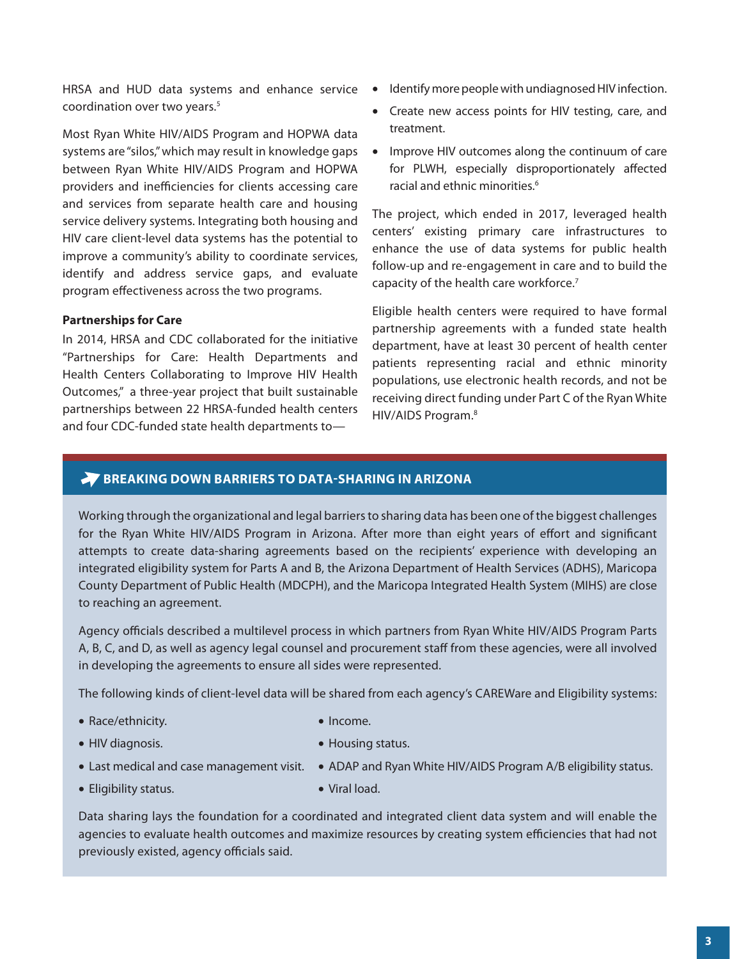HRSA and HUD data systems and enhance service coordination over two years.<sup>5</sup>

Most Ryan White HIV/AIDS Program and HOPWA data systems are "silos," which may result in knowledge gaps between Ryan White HIV/AIDS Program and HOPWA providers and inefficiencies for clients accessing care and services from separate health care and housing service delivery systems. Integrating both housing and HIV care client-level data systems has the potential to improve a community's ability to coordinate services, identify and address service gaps, and evaluate program efectiveness across the two programs.

# **Partnerships for Care**

In 2014, HRSA and CDC collaborated for the initiative "Partnerships for Care: Health Departments and Health Centers Collaborating to Improve HIV Health Outcomes," a three-year project that built sustainable partnerships between 22 HRSA-funded health centers and four CDC-funded state health departments to—

- Identify more people with undiagnosed HIV infection.
- Create new access points for HIV testing, care, and treatment.
- Improve HIV outcomes along the continuum of care for PLWH, especially disproportionately afected racial and ethnic minorities.<sup>6</sup>

The project, which ended in 2017, leveraged health centers' existing primary care infrastructures to enhance the use of data systems for public health follow-up and re-engagement in care and to build the capacity of the health care workforce.<sup>7</sup>

Eligible health centers were required to have formal partnership agreements with a funded state health department, have at least 30 percent of health center patients representing racial and ethnic minority populations, use electronic health records, and not be receiving direct funding under Part C of the Ryan White HIV/AIDS Program.8

# **BREAKING DOWN BARRIERS TO DATA-SHARING IN ARIZONA**

Working through the organizational and legal barriers to sharing data has been one of the biggest challenges for the Ryan White HIV/AIDS Program in Arizona. After more than eight years of efort and signifcant attempts to create data-sharing agreements based on the recipients' experience with developing an integrated eligibility system for Parts A and B, the Arizona Department of Health Services (ADHS), Maricopa County Department of Public Health (MDCPH), and the Maricopa Integrated Health System (MIHS) are close to reaching an agreement.

Agency officials described a multilevel process in which partners from Ryan White HIV/AIDS Program Parts A, B, C, and D, as well as agency legal counsel and procurement staff from these agencies, were all involved in developing the agreements to ensure all sides were represented.

The following kinds of client-level data will be shared from each agency's CAREWare and Eligibility systems:

- Race/ethnicity.
- HIV diagnosis.
- Income.
- Housing status.
- 
- Eligibility status.
- Last medical and case management visit. ADAP and Ryan White HIV/AIDS Program A/B eligibility status.
	- • Viral load.

Data sharing lays the foundation for a coordinated and integrated client data system and will enable the agencies to evaluate health outcomes and maximize resources by creating system efficiencies that had not previously existed, agency officials said.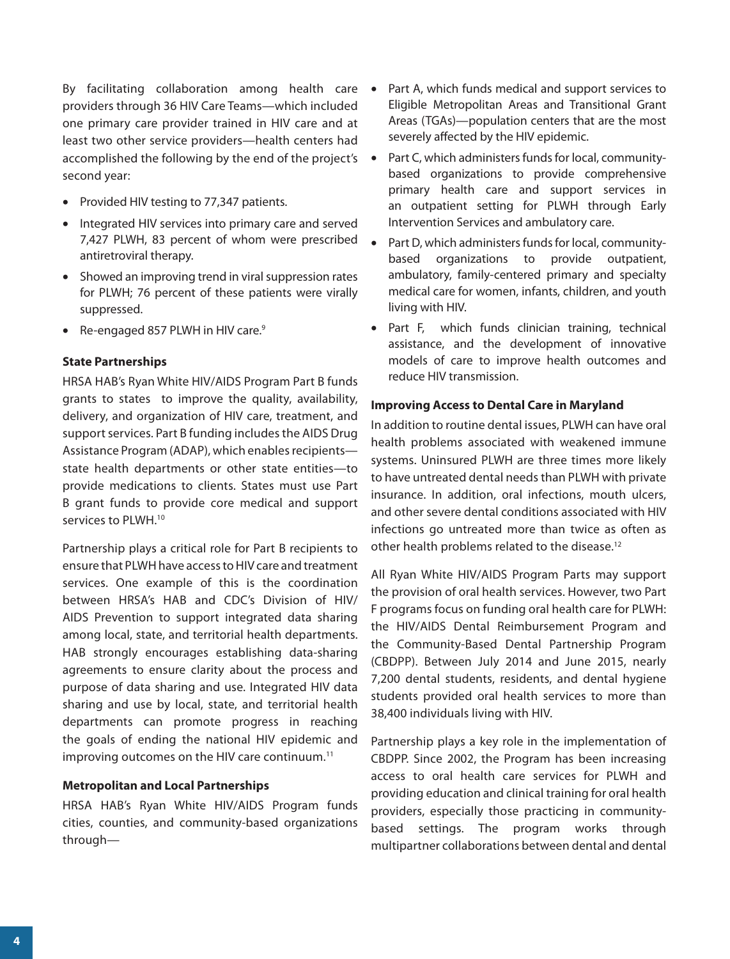By facilitating collaboration among health care providers through 36 HIV Care Teams—which included one primary care provider trained in HIV care and at least two other service providers—health centers had accomplished the following by the end of the project's second year:

- Provided HIV testing to 77,347 patients.
- Integrated HIV services into primary care and served 7,427 PLWH, 83 percent of whom were prescribed antiretroviral therapy.
- Showed an improving trend in viral suppression rates for PLWH; 76 percent of these patients were virally suppressed.
- Re-engaged 857 PLWH in HIV care.<sup>9</sup>

# **State Partnerships**

HRSA HAB's Ryan White HIV/AIDS Program Part B funds grants to states to improve the quality, availability, delivery, and organization of HIV care, treatment, and support services. Part B funding includes the AIDS Drug Assistance Program (ADAP), which enables recipients state health departments or other state entities—to provide medications to clients. States must use Part B grant funds to provide core medical and support services to PLWH.<sup>10</sup>

Partnership plays a critical role for Part B recipients to ensure that PLWH have access to HIV care and treatment services. One example of this is the coordination between HRSA's HAB and CDC's Division of HIV/ AIDS Prevention to support integrated data sharing among local, state, and territorial health departments. HAB strongly encourages establishing data-sharing agreements to ensure clarity about the process and purpose of data sharing and use. Integrated HIV data sharing and use by local, state, and territorial health departments can promote progress in reaching the goals of ending the national HIV epidemic and improving outcomes on the HIV care continuum.<sup>11</sup>

## **Metropolitan and Local Partnerships**

HRSA HAB's Ryan White HIV/AIDS Program funds cities, counties, and community-based organizations through—

- Part A, which funds medical and support services to Eligible Metropolitan Areas and Transitional Grant Areas (TGAs)—population centers that are the most severely affected by the HIV epidemic.
- Part C, which administers funds for local, communitybased organizations to provide comprehensive primary health care and support services in an outpatient setting for PLWH through Early Intervention Services and ambulatory care.
- Part D, which administers funds for local, communitybased organizations to provide outpatient, ambulatory, family-centered primary and specialty medical care for women, infants, children, and youth living with HIV.
- Part F, which funds clinician training, technical assistance, and the development of innovative models of care to improve health outcomes and reduce HIV transmission.

## **Improving Access to Dental Care in Maryland**

In addition to routine dental issues, PLWH can have oral health problems associated with weakened immune systems. Uninsured PLWH are three times more likely to have untreated dental needs than PLWH with private insurance. In addition, oral infections, mouth ulcers, and other severe dental conditions associated with HIV infections go untreated more than twice as often as other health problems related to the disease.<sup>12</sup>

All Ryan White HIV/AIDS Program Parts may support the provision of oral health services. However, two Part F programs focus on funding oral health care for PLWH: the HIV/AIDS Dental Reimbursement Program and the Community-Based Dental Partnership Program (CBDPP). Between July 2014 and June 2015, nearly 7,200 dental students, residents, and dental hygiene students provided oral health services to more than 38,400 individuals living with HIV.

Partnership plays a key role in the implementation of CBDPP. Since 2002, the Program has been increasing access to oral health care services for PLWH and providing education and clinical training for oral health providers, especially those practicing in communitybased settings. The program works through multipartner collaborations between dental and dental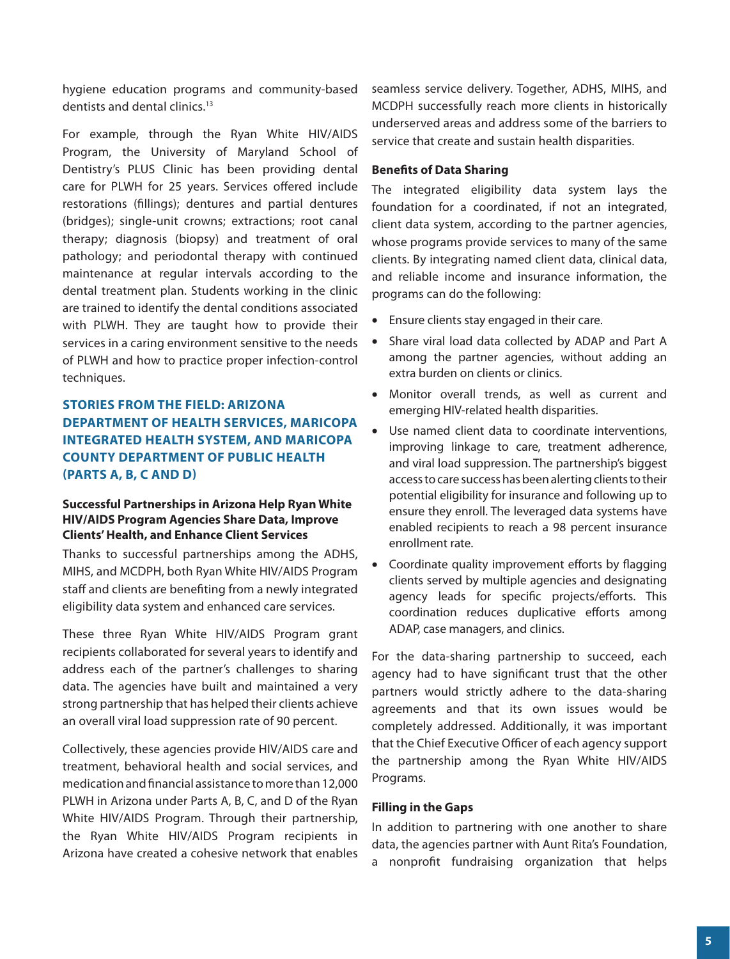<span id="page-4-0"></span>hygiene education programs and community-based dentists and dental clinics.13

For example, through the Ryan White HIV/AIDS Program, the University of Maryland School of Dentistry's PLUS Clinic has been providing dental care for PLWH for 25 years. Services offered include restorations (fllings); dentures and partial dentures (bridges); single-unit crowns; extractions; root canal therapy; diagnosis (biopsy) and treatment of oral pathology; and periodontal therapy with continued maintenance at regular intervals according to the dental treatment plan. Students working in the clinic are trained to identify the dental conditions associated with PLWH. They are taught how to provide their services in a caring environment sensitive to the needs of PLWH and how to practice proper infection-control techniques.

# **STORIES FROM THE FIELD: ARIZONA DEPARTMENT OF HEALTH SERVICES, MARICOPA INTEGRATED HEALTH SYSTEM, AND MARICOPA COUNTY DEPARTMENT OF PUBLIC HEALTH (PARTS A, B, C AND D)**

# **Successful Partnerships in Arizona Help Ryan White HIV/AIDS Program Agencies Share Data, Improve Clients' Health, and Enhance Client Services**

Thanks to successful partnerships among the ADHS, MIHS, and MCDPH, both Ryan White HIV/AIDS Program staff and clients are benefiting from a newly integrated eligibility data system and enhanced care services.

These three Ryan White HIV/AIDS Program grant recipients collaborated for several years to identify and address each of the partner's challenges to sharing data. The agencies have built and maintained a very strong partnership that has helped their clients achieve an overall viral load suppression rate of 90 percent.

Collectively, these agencies provide HIV/AIDS care and treatment, behavioral health and social services, and medication and fnancial assistance to more than 12,000 PLWH in Arizona under Parts A, B, C, and D of the Ryan White HIV/AIDS Program. Through their partnership, the Ryan White HIV/AIDS Program recipients in Arizona have created a cohesive network that enables

seamless service delivery. Together, ADHS, MIHS, and MCDPH successfully reach more clients in historically underserved areas and address some of the barriers to service that create and sustain health disparities.

## **Benefts of Data Sharing**

The integrated eligibility data system lays the foundation for a coordinated, if not an integrated, client data system, according to the partner agencies, whose programs provide services to many of the same clients. By integrating named client data, clinical data, and reliable income and insurance information, the programs can do the following:

- Ensure clients stay engaged in their care.
- Share viral load data collected by ADAP and Part A among the partner agencies, without adding an extra burden on clients or clinics.
- Monitor overall trends, as well as current and emerging HIV-related health disparities.
- Use named client data to coordinate interventions, improving linkage to care, treatment adherence, and viral load suppression. The partnership's biggest access to care success has been alerting clients to their potential eligibility for insurance and following up to ensure they enroll. The leveraged data systems have enabled recipients to reach a 98 percent insurance enrollment rate.
- Coordinate quality improvement efforts by flagging clients served by multiple agencies and designating agency leads for specific projects/efforts. This coordination reduces duplicative efforts among ADAP, case managers, and clinics.

For the data-sharing partnership to succeed, each agency had to have signifcant trust that the other partners would strictly adhere to the data-sharing agreements and that its own issues would be completely addressed. Additionally, it was important that the Chief Executive Officer of each agency support the partnership among the Ryan White HIV/AIDS Programs.

## **Filling in the Gaps**

In addition to partnering with one another to share data, the agencies partner with Aunt Rita's Foundation, a nonproft fundraising organization that helps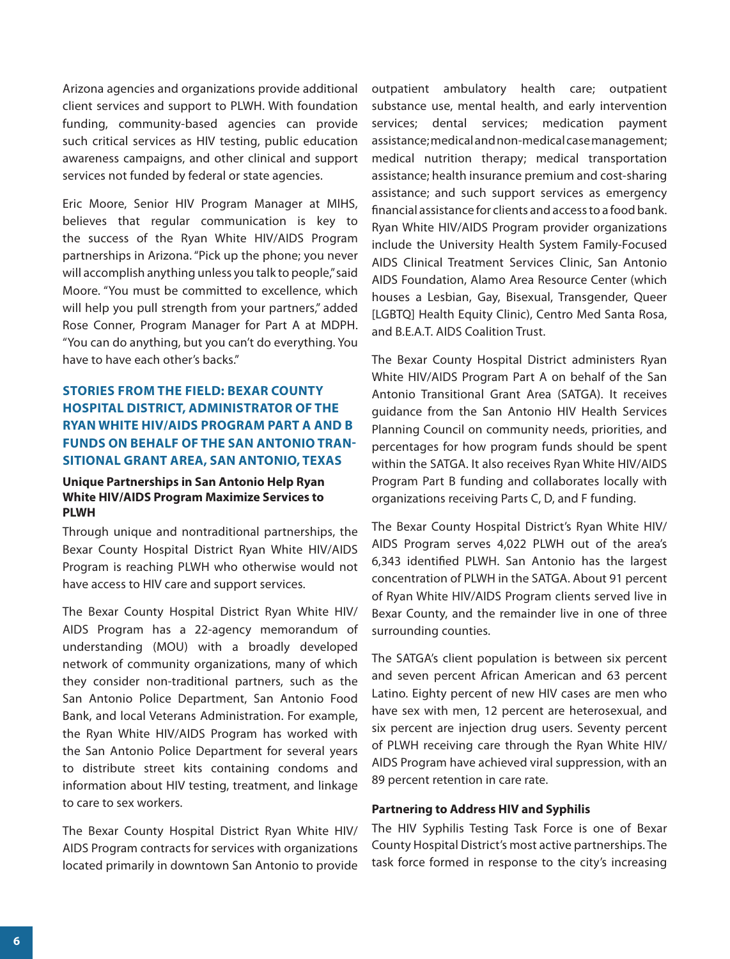<span id="page-5-0"></span>Arizona agencies and organizations provide additional client services and support to PLWH. With foundation funding, community-based agencies can provide such critical services as HIV testing, public education awareness campaigns, and other clinical and support services not funded by federal or state agencies.

Eric Moore, Senior HIV Program Manager at MIHS, believes that regular communication is key to the success of the Ryan White HIV/AIDS Program partnerships in Arizona. "Pick up the phone; you never will accomplish anything unless you talk to people," said Moore. "You must be committed to excellence, which will help you pull strength from your partners," added Rose Conner, Program Manager for Part A at MDPH. "You can do anything, but you can't do everything. You have to have each other's backs."

# **STORIES FROM THE FIELD: BEXAR COUNTY HOSPITAL DISTRICT, ADMINISTRATOR OF THE RYAN WHITE HIV/AIDS PROGRAM PART A AND B FUNDS ON BEHALF OF THE SAN ANTONIO TRAN-SITIONAL GRANT AREA, SAN ANTONIO, TEXAS**

# **Unique Partnerships in San Antonio Help Ryan White HIV/AIDS Program Maximize Services to PLWH**

Through unique and nontraditional partnerships, the Bexar County Hospital District Ryan White HIV/AIDS Program is reaching PLWH who otherwise would not have access to HIV care and support services.

The Bexar County Hospital District Ryan White HIV/ AIDS Program has a 22-agency memorandum of understanding (MOU) with a broadly developed network of community organizations, many of which they consider non-traditional partners, such as the San Antonio Police Department, San Antonio Food Bank, and local Veterans Administration. For example, the Ryan White HIV/AIDS Program has worked with the San Antonio Police Department for several years to distribute street kits containing condoms and information about HIV testing, treatment, and linkage to care to sex workers.

 located primarily in downtown San Antonio to provide The Bexar County Hospital District Ryan White HIV/ AIDS Program contracts for services with organizations

outpatient ambulatory health care; outpatient substance use, mental health, and early intervention services; dental services; medication payment assistance; medical and non-medical case management; medical nutrition therapy; medical transportation assistance; health insurance premium and cost-sharing assistance; and such support services as emergency fnancial assistance for clients and access to a food bank. Ryan White HIV/AIDS Program provider organizations include the University Health System Family-Focused AIDS Clinical Treatment Services Clinic, San Antonio AIDS Foundation, Alamo Area Resource Center (which houses a Lesbian, Gay, Bisexual, Transgender, Queer [LGBTQ] Health Equity Clinic), Centro Med Santa Rosa, and B.E.A.T. AIDS Coalition Trust.

The Bexar County Hospital District administers Ryan White HIV/AIDS Program Part A on behalf of the San Antonio Transitional Grant Area (SATGA). It receives guidance from the San Antonio HIV Health Services Planning Council on community needs, priorities, and percentages for how program funds should be spent within the SATGA. It also receives Ryan White HIV/AIDS Program Part B funding and collaborates locally with organizations receiving Parts C, D, and F funding.

The Bexar County Hospital District's Ryan White HIV/ AIDS Program serves 4,022 PLWH out of the area's 6,343 identifed PLWH. San Antonio has the largest concentration of PLWH in the SATGA. About 91 percent of Ryan White HIV/AIDS Program clients served live in Bexar County, and the remainder live in one of three surrounding counties.

The SATGA's client population is between six percent and seven percent African American and 63 percent Latino. Eighty percent of new HIV cases are men who have sex with men, 12 percent are heterosexual, and six percent are injection drug users. Seventy percent of PLWH receiving care through the Ryan White HIV/ AIDS Program have achieved viral suppression, with an 89 percent retention in care rate.

# **Partnering to Address HIV and Syphilis**

The HIV Syphilis Testing Task Force is one of Bexar County Hospital District's most active partnerships. The task force formed in response to the city's increasing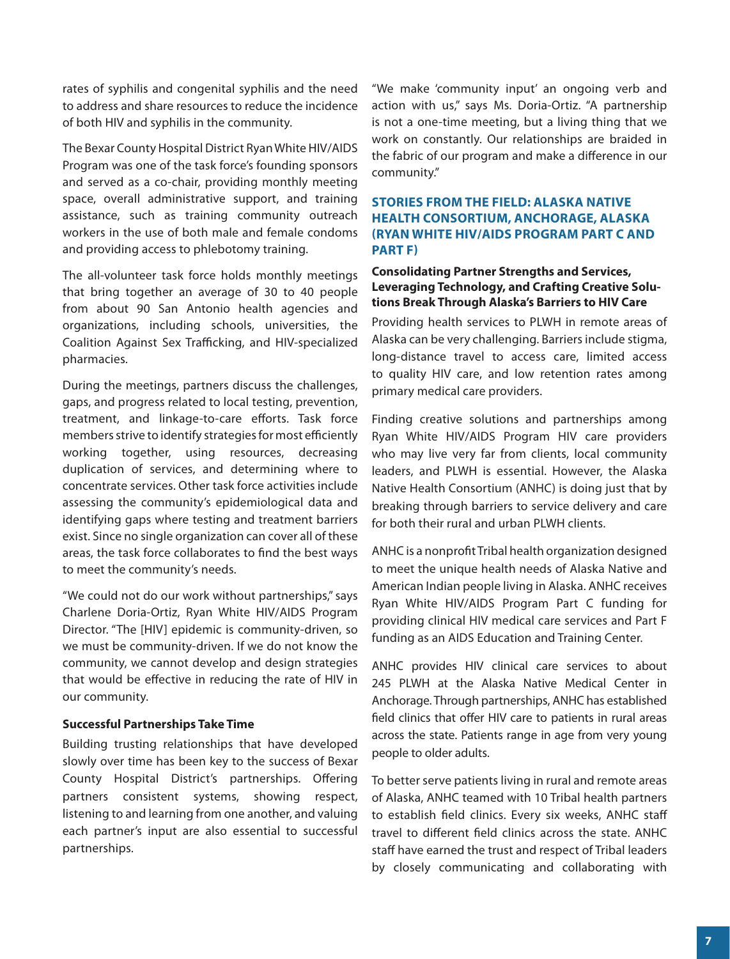<span id="page-6-0"></span>rates of syphilis and congenital syphilis and the need to address and share resources to reduce the incidence of both HIV and syphilis in the community.

The Bexar County Hospital District Ryan White HIV/AIDS Program was one of the task force's founding sponsors and served as a co-chair, providing monthly meeting space, overall administrative support, and training assistance, such as training community outreach workers in the use of both male and female condoms and providing access to phlebotomy training.

The all-volunteer task force holds monthly meetings that bring together an average of 30 to 40 people from about 90 San Antonio health agencies and organizations, including schools, universities, the Coalition Against Sex Trafficking, and HIV-specialized pharmacies.

During the meetings, partners discuss the challenges, gaps, and progress related to local testing, prevention, treatment, and linkage-to-care eforts. Task force members strive to identify strategies for most efficiently working together, using resources, decreasing duplication of services, and determining where to concentrate services. Other task force activities include assessing the community's epidemiological data and identifying gaps where testing and treatment barriers exist. Since no single organization can cover all of these areas, the task force collaborates to fnd the best ways to meet the community's needs.

"We could not do our work without partnerships," says Charlene Doria-Ortiz, Ryan White HIV/AIDS Program Director. "The [HIV] epidemic is community-driven, so we must be community-driven. If we do not know the community, we cannot develop and design strategies that would be efective in reducing the rate of HIV in our community.

## **Successful Partnerships Take Time**

Building trusting relationships that have developed slowly over time has been key to the success of Bexar County Hospital District's partnerships. Offering partners consistent systems, showing respect, listening to and learning from one another, and valuing each partner's input are also essential to successful partnerships.

"We make 'community input' an ongoing verb and action with us," says Ms. Doria-Ortiz. "A partnership is not a one-time meeting, but a living thing that we work on constantly. Our relationships are braided in the fabric of our program and make a diference in our community."

# **STORIES FROM THE FIELD: ALASKA NATIVE HEALTH CONSORTIUM, ANCHORAGE, ALASKA (RYAN WHITE HIV/AIDS PROGRAM PART C AND PART F)**

# **Consolidating Partner Strengths and Services, Leveraging Technology, and Crafting Creative Solutions Break Through Alaska's Barriers to HIV Care**

Providing health services to PLWH in remote areas of Alaska can be very challenging. Barriers include stigma, long-distance travel to access care, limited access to quality HIV care, and low retention rates among primary medical care providers.

Finding creative solutions and partnerships among Ryan White HIV/AIDS Program HIV care providers who may live very far from clients, local community leaders, and PLWH is essential. However, the Alaska Native Health Consortium (ANHC) is doing just that by breaking through barriers to service delivery and care for both their rural and urban PLWH clients.

ANHC is a nonproft Tribal health organization designed to meet the unique health needs of Alaska Native and American Indian people living in Alaska. ANHC receives Ryan White HIV/AIDS Program Part C funding for providing clinical HIV medical care services and Part F funding as an AIDS Education and Training Center.

ANHC provides HIV clinical care services to about 245 PLWH at the Alaska Native Medical Center in Anchorage. Through partnerships, ANHC has established field clinics that offer HIV care to patients in rural areas across the state. Patients range in age from very young people to older adults.

To better serve patients living in rural and remote areas of Alaska, ANHC teamed with 10 Tribal health partners to establish feld clinics. Every six weeks, ANHC staf travel to diferent feld clinics across the state. ANHC staff have earned the trust and respect of Tribal leaders by closely communicating and collaborating with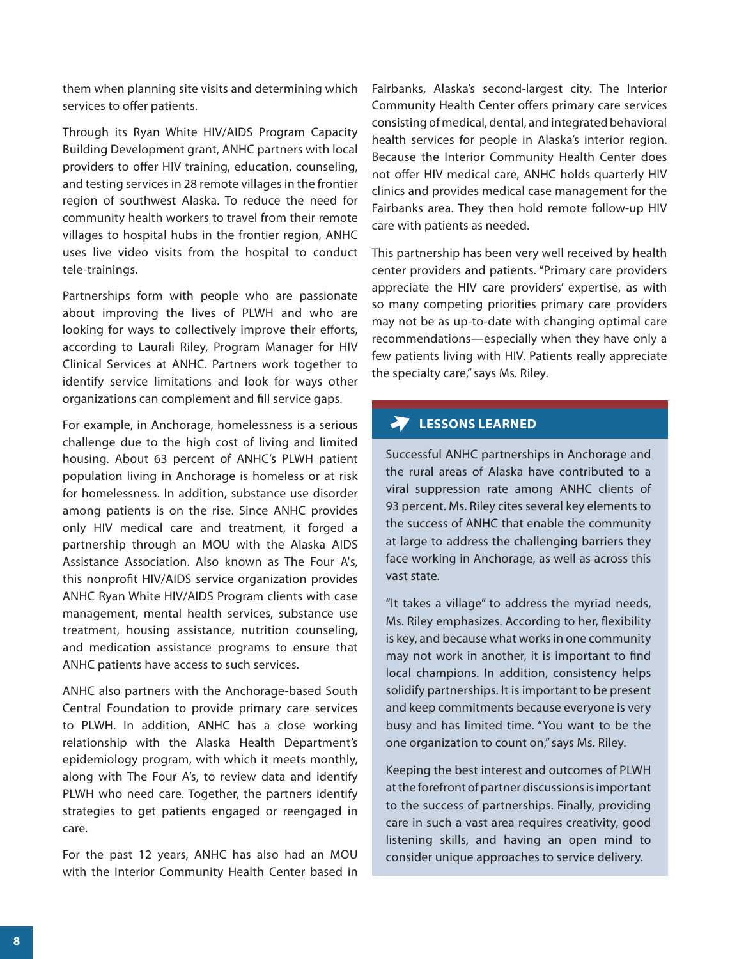them when planning site visits and determining which services to offer patients.

Through its Ryan White HIV/AIDS Program Capacity Building Development grant, ANHC partners with local providers to offer HIV training, education, counseling, and testing services in 28 remote villages in the frontier region of southwest Alaska. To reduce the need for community health workers to travel from their remote villages to hospital hubs in the frontier region, ANHC uses live video visits from the hospital to conduct tele-trainings.

Partnerships form with people who are passionate about improving the lives of PLWH and who are looking for ways to collectively improve their efforts, according to Laurali Riley, Program Manager for HIV Clinical Services at ANHC. Partners work together to identify service limitations and look for ways other organizations can complement and fll service gaps.

For example, in Anchorage, homelessness is a serious challenge due to the high cost of living and limited housing. About 63 percent of ANHC's PLWH patient population living in Anchorage is homeless or at risk for homelessness. In addition, substance use disorder among patients is on the rise. Since ANHC provides only HIV medical care and treatment, it forged a partnership through an MOU with the Alaska AIDS Assistance Association. Also known as The Four A's, this nonproft HIV/AIDS service organization provides ANHC Ryan White HIV/AIDS Program clients with case management, mental health services, substance use treatment, housing assistance, nutrition counseling, and medication assistance programs to ensure that ANHC patients have access to such services.

ANHC also partners with the Anchorage-based South Central Foundation to provide primary care services to PLWH. In addition, ANHC has a close working relationship with the Alaska Health Department's epidemiology program, with which it meets monthly, along with The Four A's, to review data and identify PLWH who need care. Together, the partners identify strategies to get patients engaged or reengaged in care.

For the past 12 years, ANHC has also had an MOU with the Interior Community Health Center based in Fairbanks, Alaska's second-largest city. The Interior Community Health Center offers primary care services consisting of medical, dental, and integrated behavioral health services for people in Alaska's interior region. Because the Interior Community Health Center does not offer HIV medical care, ANHC holds quarterly HIV clinics and provides medical case management for the Fairbanks area. They then hold remote follow-up HIV care with patients as needed.

This partnership has been very well received by health center providers and patients. "Primary care providers appreciate the HIV care providers' expertise, as with so many competing priorities primary care providers may not be as up-to-date with changing optimal care recommendations—especially when they have only a few patients living with HIV. Patients really appreciate the specialty care," says Ms. Riley.

# **LESSONS LEARNED**

Successful ANHC partnerships in Anchorage and the rural areas of Alaska have contributed to a viral suppression rate among ANHC clients of 93 percent. Ms. Riley cites several key elements to the success of ANHC that enable the community at large to address the challenging barriers they face working in Anchorage, as well as across this vast state.

"It takes a village" to address the myriad needs, Ms. Riley emphasizes. According to her, fexibility is key, and because what works in one community may not work in another, it is important to fnd local champions. In addition, consistency helps solidify partnerships. It is important to be present and keep commitments because everyone is very busy and has limited time. "You want to be the one organization to count on," says Ms. Riley.

Keeping the best interest and outcomes of PLWH at the forefront of partner discussions is important to the success of partnerships. Finally, providing care in such a vast area requires creativity, good listening skills, and having an open mind to consider unique approaches to service delivery.